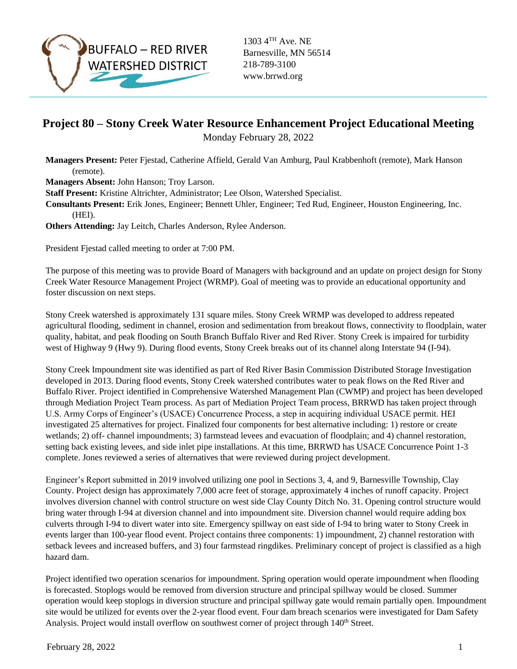

1303 4TH Ave. NE Barnesville, MN 56514 218-789-3100 www.brrwd.org

## **Project 80 – Stony Creek Water Resource Enhancement Project Educational Meeting**

Monday February 28, 2022

**Managers Present:** Peter Fjestad, Catherine Affield, Gerald Van Amburg, Paul Krabbenhoft (remote), Mark Hanson (remote).

**Managers Absent:** John Hanson; Troy Larson.

**Staff Present:** Kristine Altrichter, Administrator; Lee Olson, Watershed Specialist.

**Consultants Present:** Erik Jones, Engineer; Bennett Uhler, Engineer; Ted Rud, Engineer, Houston Engineering, Inc. (HEI).

**Others Attending:** Jay Leitch, Charles Anderson, Rylee Anderson.

President Fjestad called meeting to order at 7:00 PM.

The purpose of this meeting was to provide Board of Managers with background and an update on project design for Stony Creek Water Resource Management Project (WRMP). Goal of meeting was to provide an educational opportunity and foster discussion on next steps.

Stony Creek watershed is approximately 131 square miles. Stony Creek WRMP was developed to address repeated agricultural flooding, sediment in channel, erosion and sedimentation from breakout flows, connectivity to floodplain, water quality, habitat, and peak flooding on South Branch Buffalo River and Red River. Stony Creek is impaired for turbidity west of Highway 9 (Hwy 9). During flood events, Stony Creek breaks out of its channel along Interstate 94 (I-94).

Stony Creek Impoundment site was identified as part of Red River Basin Commission Distributed Storage Investigation developed in 2013. During flood events, Stony Creek watershed contributes water to peak flows on the Red River and Buffalo River. Project identified in Comprehensive Watershed Management Plan (CWMP) and project has been developed through Mediation Project Team process. As part of Mediation Project Team process, BRRWD has taken project through U.S. Army Corps of Engineer's (USACE) Concurrence Process, a step in acquiring individual USACE permit. HEI investigated 25 alternatives for project. Finalized four components for best alternative including: 1) restore or create wetlands; 2) off- channel impoundments; 3) farmstead levees and evacuation of floodplain; and 4) channel restoration, setting back existing levees, and side inlet pipe installations. At this time, BRRWD has USACE Concurrence Point 1-3 complete. Jones reviewed a series of alternatives that were reviewed during project development.

Engineer's Report submitted in 2019 involved utilizing one pool in Sections 3, 4, and 9, Barnesville Township, Clay County. Project design has approximately 7,000 acre feet of storage, approximately 4 inches of runoff capacity. Project involves diversion channel with control structure on west side Clay County Ditch No. 31. Opening control structure would bring water through I-94 at diversion channel and into impoundment site. Diversion channel would require adding box culverts through I-94 to divert water into site. Emergency spillway on east side of I-94 to bring water to Stony Creek in events larger than 100-year flood event. Project contains three components: 1) impoundment, 2) channel restoration with setback levees and increased buffers, and 3) four farmstead ringdikes. Preliminary concept of project is classified as a high hazard dam.

Project identified two operation scenarios for impoundment. Spring operation would operate impoundment when flooding is forecasted. Stoplogs would be removed from diversion structure and principal spillway would be closed. Summer operation would keep stoplogs in diversion structure and principal spillway gate would remain partially open. Impoundment site would be utilized for events over the 2-year flood event. Four dam breach scenarios were investigated for Dam Safety Analysis. Project would install overflow on southwest corner of project through 140<sup>th</sup> Street.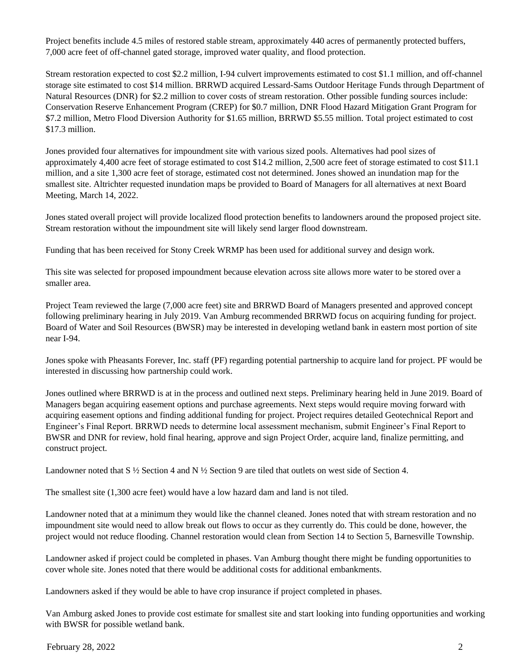Project benefits include 4.5 miles of restored stable stream, approximately 440 acres of permanently protected buffers, 7,000 acre feet of off-channel gated storage, improved water quality, and flood protection.

Stream restoration expected to cost \$2.2 million, I-94 culvert improvements estimated to cost \$1.1 million, and off-channel storage site estimated to cost \$14 million. BRRWD acquired Lessard-Sams Outdoor Heritage Funds through Department of Natural Resources (DNR) for \$2.2 million to cover costs of stream restoration. Other possible funding sources include: Conservation Reserve Enhancement Program (CREP) for \$0.7 million, DNR Flood Hazard Mitigation Grant Program for \$7.2 million, Metro Flood Diversion Authority for \$1.65 million, BRRWD \$5.55 million. Total project estimated to cost \$17.3 million.

Jones provided four alternatives for impoundment site with various sized pools. Alternatives had pool sizes of approximately 4,400 acre feet of storage estimated to cost \$14.2 million, 2,500 acre feet of storage estimated to cost \$11.1 million, and a site 1,300 acre feet of storage, estimated cost not determined. Jones showed an inundation map for the smallest site. Altrichter requested inundation maps be provided to Board of Managers for all alternatives at next Board Meeting, March 14, 2022.

Jones stated overall project will provide localized flood protection benefits to landowners around the proposed project site. Stream restoration without the impoundment site will likely send larger flood downstream.

Funding that has been received for Stony Creek WRMP has been used for additional survey and design work.

This site was selected for proposed impoundment because elevation across site allows more water to be stored over a smaller area.

Project Team reviewed the large (7,000 acre feet) site and BRRWD Board of Managers presented and approved concept following preliminary hearing in July 2019. Van Amburg recommended BRRWD focus on acquiring funding for project. Board of Water and Soil Resources (BWSR) may be interested in developing wetland bank in eastern most portion of site near I-94.

Jones spoke with Pheasants Forever, Inc. staff (PF) regarding potential partnership to acquire land for project. PF would be interested in discussing how partnership could work.

Jones outlined where BRRWD is at in the process and outlined next steps. Preliminary hearing held in June 2019. Board of Managers began acquiring easement options and purchase agreements. Next steps would require moving forward with acquiring easement options and finding additional funding for project. Project requires detailed Geotechnical Report and Engineer's Final Report. BRRWD needs to determine local assessment mechanism, submit Engineer's Final Report to BWSR and DNR for review, hold final hearing, approve and sign Project Order, acquire land, finalize permitting, and construct project.

Landowner noted that S ½ Section 4 and N ½ Section 9 are tiled that outlets on west side of Section 4.

The smallest site (1,300 acre feet) would have a low hazard dam and land is not tiled.

Landowner noted that at a minimum they would like the channel cleaned. Jones noted that with stream restoration and no impoundment site would need to allow break out flows to occur as they currently do. This could be done, however, the project would not reduce flooding. Channel restoration would clean from Section 14 to Section 5, Barnesville Township.

Landowner asked if project could be completed in phases. Van Amburg thought there might be funding opportunities to cover whole site. Jones noted that there would be additional costs for additional embankments.

Landowners asked if they would be able to have crop insurance if project completed in phases.

Van Amburg asked Jones to provide cost estimate for smallest site and start looking into funding opportunities and working with BWSR for possible wetland bank.